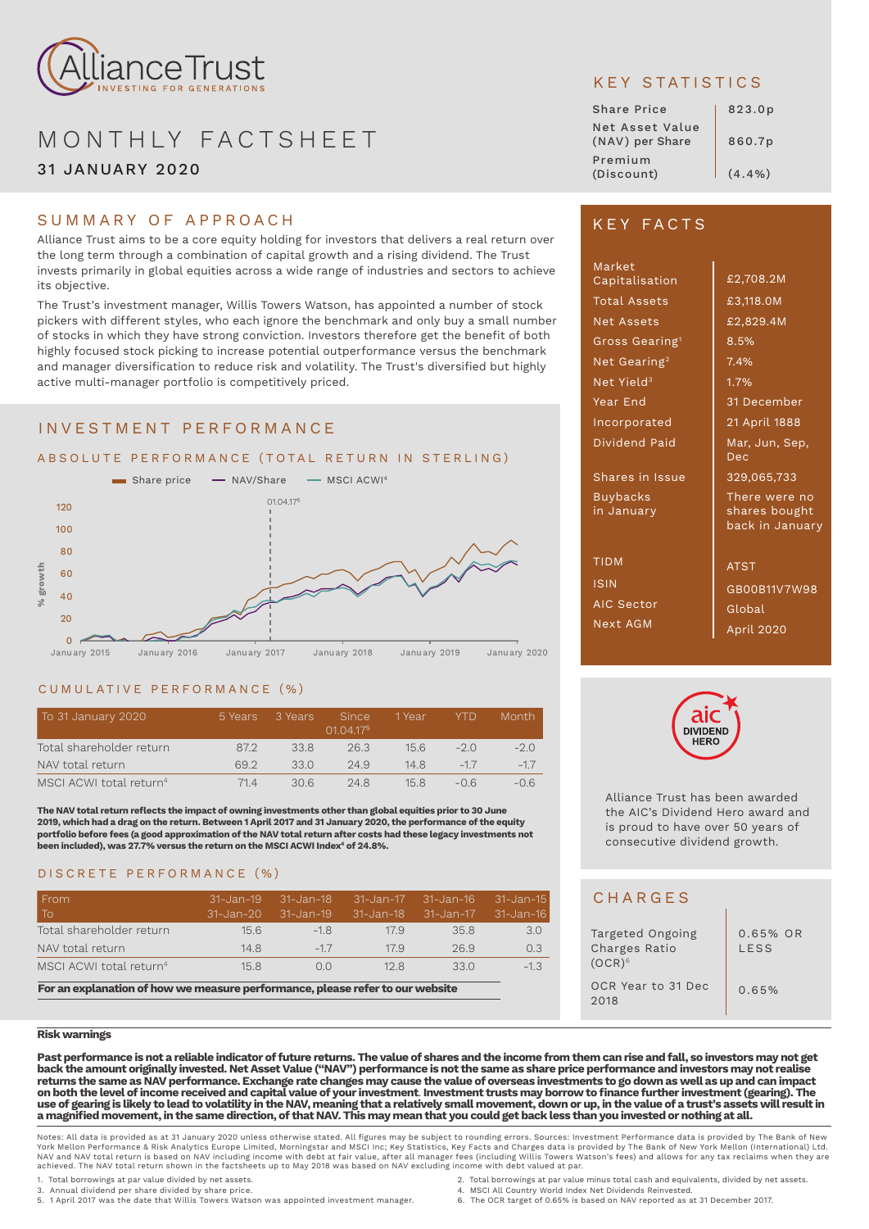

# MONTHLY FACTSHEET 31 JANUARY 2020

## SUMMARY OF APPROACH

Alliance Trust aims to be a core equity holding for investors that delivers a real return over the long term through a combination of capital growth and a rising dividend. The Trust invests primarily in global equities across a wide range of industries and sectors to achieve its objective.

The Trust's investment manager, Willis Towers Watson, has appointed a number of stock pickers with different styles, who each ignore the benchmark and only buy a small number of stocks in which they have strong conviction. Investors therefore get the benefit of both highly focused stock picking to increase potential outperformance versus the benchmark and manager diversification to reduce risk and volatility. The Trust's diversified but highly active multi-manager portfolio is competitively priced.

## INVESTMENT PERFORMANCE



#### CUMULATIVE PERFORMANCE (%)

| To 31 January 2020                  | 5 Years | 3 Years | <b>Since</b><br>0104175 | 1 Year | <b>YTD</b> | Month. |
|-------------------------------------|---------|---------|-------------------------|--------|------------|--------|
| Total shareholder return            | 87.2    | 33.8    | 263                     | 156    | $-20$      | $-2.0$ |
| NAV total return                    | 692     | 330     | 24.9                    | 148    | $-17$      | $-17$  |
| MSCI ACWI total return <sup>4</sup> | 714     | 306     | 248                     | 158    | $-06$      | $-06$  |

**The NAV total return reflects the impact of owning investments other than global equities prior to 30 June 2019, which had a drag on the return. Between 1 April 2017 and 31 January 2020, the performance of the equity portfolio before fees (a good approximation of the NAV total return after costs had these legacy investments not**  been included), was 27.7% versus the return on the MSCI ACWI Index<sup>4</sup> of 24.8%.

### DISCRETE PERFORMANCE (%)

| l From<br>l To'                     | $31 - Jan - 19$<br>$31 - Jan - 20$ | 31-Jan-18<br>31-Jan-19 | 31-Jan-17<br>$31 - Jan - 18$ | 31-Jan-16<br>31-Jan-17 | 31-Jan-15<br>31-Jan-16 |
|-------------------------------------|------------------------------------|------------------------|------------------------------|------------------------|------------------------|
| Total shareholder return            | 15.6                               | $-18$                  | 179                          | 35.8                   | 3.0                    |
| NAV total return                    | 148                                | $-17$                  | 17.9                         | 26.9                   | 0.3                    |
| MSCI ACWI total return <sup>4</sup> | 15.8                               | 0 <sub>0</sub>         | 128                          | 330                    | $-1.3$                 |

**For an explanation of how we measure performance, please refer to our website** 

#### **Risk warnings**

**Past performance is not a reliable indicator of future returns. The value of shares and the income from them can rise and fall, so investors may not get back the amount originally invested. Net Asset Value ("NAV") performance is not the same as share price performance and investors may not realise returns the same as NAV performance. Exchange rate changes may cause the value of overseas investments to go down as well as up and can impact on both the level of income received and capital value of your investment**. **Investment trusts may borrow to finance further investment (gearing). The use of gearing is likely to lead to volatility in the NAV, meaning that a relatively small movement, down or up, in the value of a trust's assets will result in a magnified movement, in the same direction, of that NAV. This may mean that you could get back less than you invested or nothing at all.**

Notes: All data is provided as at 31 January 2020 unless otherwise stated. All figures may be subject to rounding errors. Sources: Investment Performance data is provided by The Bank of New<br>York Mellon Performance & Risk A NAV and NAV total return is based on NAV including income with debt at fair value, after all manager fees (including Willis Towers Watson's fees) and allows for any tax reclaims when they are<br>achieved. The NAV total return

- 
- 1. Total borrowings at par value divided by net assets.<br>1. Total borrowings at par value minus total cash and equivalents, divided by net assets.<br>1. MSCI All Country World Index Net Dividends Reinvested.<br>1. The OCR target 3. Annual dividend per share divided by share price. 4. MSCI All Country World Index Net Dividends Reinvested. 5. 1 April 2017 was the date that Willis Towers Watson was appointed investment manager. 6. The OCR target of 0.65% is based on NAV reported as at 31 December 2017.

KEY STATISTICS

| <b>Share Price</b>                 | 823.0p |
|------------------------------------|--------|
| Net Asset Value<br>(NAV) per Share | 860.7p |
| Premium<br>(Discount)              | (4.4%) |

## KEY FACTS

| Market<br>Capitalisation      | £2,708.2M                                         |
|-------------------------------|---------------------------------------------------|
| <b>Total Assets</b>           | £3,118.0M                                         |
| <b>Net Assets</b>             | £2,829.4M                                         |
| Gross Gearing <sup>1</sup>    | 8.5%                                              |
| Net Gearing <sup>2</sup>      | 7.4%                                              |
| Net Yield <sup>3</sup>        | 1.7%                                              |
| Year End                      | 31 December                                       |
| Incorporated                  | 21 April 1888                                     |
| Dividend Paid                 | Mar, Jun, Sep,<br>Dec                             |
| Shares in Issue               | 329,065,733                                       |
| <b>Buybacks</b><br>in January | There were no<br>shares bought<br>back in January |
| <b>TIDM</b>                   | <b>ATST</b>                                       |
| <b>ISIN</b>                   | GB00B11V7W98                                      |
| AIC Sector                    | Global                                            |
| <b>Next AGM</b>               | April 2020                                        |



Alliance Trust has been awarded the AIC's Dividend Hero award and is proud to have over 50 years of consecutive dividend growth.

## **CHARGES**

| Targeted Ongoing<br>Charges Ratio<br>$(OCR)^6$ | $0.65\%$ OR<br>LESS |
|------------------------------------------------|---------------------|
| OCR Year to 31 Dec<br>2018                     | 0.65%               |